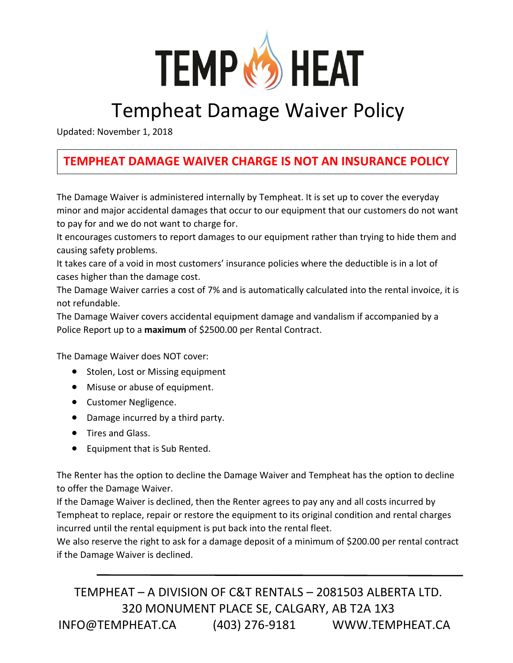

## Tempheat Damage Waiver Policy

Updated: November 1, 2018

## **TEMPHEAT DAMAGE WAIVER CHARGE IS NOT AN INSURANCE POLICY**

The Damage Waiver is administered internally by Tempheat. It is set up to cover the everyday minor and major accidental damages that occur to our equipment that our customers do not want to pay for and we do not want to charge for.

It encourages customers to report damages to our equipment rather than trying to hide them and causing safety problems.

It takes care of a void in most customers' insurance policies where the deductible is in a lot of cases higher than the damage cost.

The Damage Waiver carries a cost of 7% and is automatically calculated into the rental invoice, it is not refundable.

The Damage Waiver covers accidental equipment damage and vandalism if accompanied by a Police Report up to a **maximum** of \$2500.00 per Rental Contract.

The Damage Waiver does NOT cover:

- Stolen, Lost or Missing equipment
- Misuse or abuse of equipment.
- Customer Negligence.
- Damage incurred by a third party.
- Tires and Glass.
- Equipment that is Sub Rented.

The Renter has the option to decline the Damage Waiver and Tempheat has the option to decline to offer the Damage Waiver.

If the Damage Waiver is declined, then the Renter agrees to pay any and all costs incurred by Tempheat to replace, repair or restore the equipment to its original condition and rental charges incurred until the rental equipment is put back into the rental fleet.

We also reserve the right to ask for a damage deposit of a minimum of \$200.00 per rental contract if the Damage Waiver is declined.

TEMPHEAT – A DIVISION OF C&T RENTALS – 2081503 ALBERTA LTD. 320 MONUMENT PLACE SE, CALGARY, AB T2A 1X3 INFO@TEMPHEAT.CA (403) 276-9181 WWW.TEMPHEAT.CA